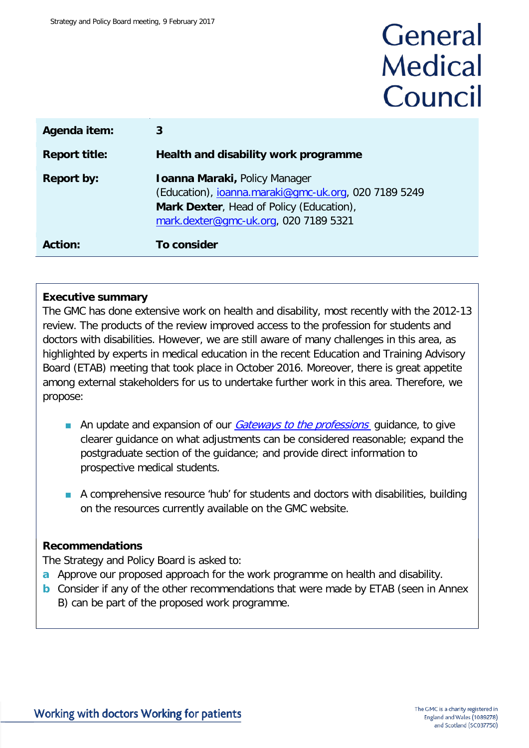# General **Medical** Council

| Agenda item:         |                                                                                                                                                                                   |
|----------------------|-----------------------------------------------------------------------------------------------------------------------------------------------------------------------------------|
| <b>Report title:</b> | Health and disability work programme                                                                                                                                              |
| <b>Report by:</b>    | <b>Ioanna Maraki, Policy Manager</b><br>(Education), joanna.maraki@gmc-uk.org, 020 7189 5249<br>Mark Dexter, Head of Policy (Education),<br>mark.dexter@qmc-uk.org, 020 7189 5321 |
| Action:              | To consider                                                                                                                                                                       |

#### **Executive summary**

The GMC has done extensive work on health and disability, most recently with the 2012-13 review. The products of the review improved access to the profession for students and doctors with disabilities. However, we are still aware of many challenges in this area, as highlighted by experts in medical education in the recent Education and Training Advisory Board (ETAB) meeting that took place in October 2016. Moreover, there is great appetite among external stakeholders for us to undertake further work in this area. Therefore, we propose:

- An update and expansion of our *[Gateways to the professions](http://www.gmc-uk.org/education/undergraduate/gateways_guidance.asp)* quidance, to give clearer guidance on what adjustments can be considered reasonable; expand the postgraduate section of the guidance; and provide direct information to prospective medical students.
- A comprehensive resource 'hub' for students and doctors with disabilities, building on the resources currently available on the GMC website.

#### **Recommendations**

The Strategy and Policy Board is asked to:

- **a** Approve our proposed approach for the work programme on health and disability.
- **b** Consider if any of the other recommendations that were made by ETAB (seen in Annex B) can be part of the proposed work programme.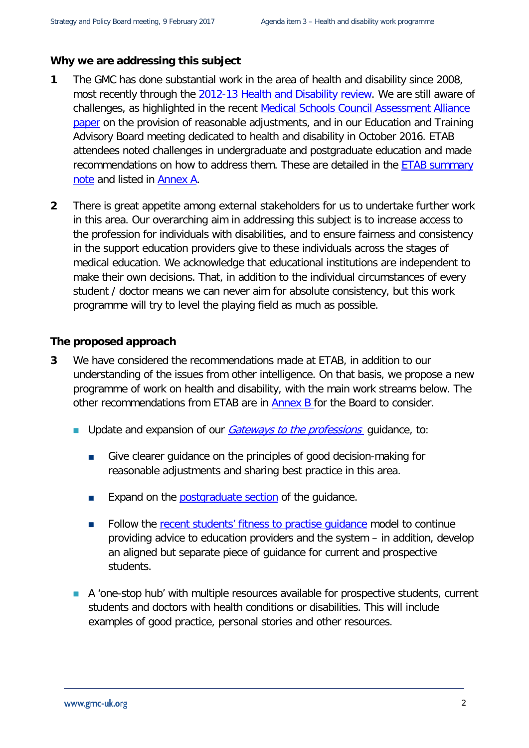#### **Why we are addressing this subject**

- **1** The GMC has done substantial work in the area of health and disability since 2008, most recently through the [2012-13 Health and Disability review.](http://www.gmc-uk.org/education/12680.asp) We are still aware of challenges, as highlighted in the recent [Medical Schools Council Assessment Alliance](http://livelink/edrms/llisapi.dll/open/67434057) [paper](http://livelink/edrms/llisapi.dll/open/67434057) on the provision of reasonable adjustments, and in our Education and Training Advisory Board meeting dedicated to health and disability in October 2016. ETAB attendees noted challenges in undergraduate and postgraduate education and made recommendations on how to address them. These are detailed in the [ETAB summary](http://livelink/edrms/llisapi.dll/open/68747082)  [note](http://livelink/edrms/llisapi.dll/open/68747082) and listed in **Annex A.**
- **2** There is great appetite among external stakeholders for us to undertake further work in this area. Our overarching aim in addressing this subject is to increase access to the profession for individuals with disabilities, and to ensure fairness and consistency in the support education providers give to these individuals across the stages of medical education. We acknowledge that educational institutions are independent to make their own decisions. That, in addition to the individual circumstances of every student / doctor means we can never aim for absolute consistency, but this work programme will try to level the playing field as much as possible.

#### **The proposed approach**

- **3** We have considered the recommendations made at ETAB, in addition to our understanding of the issues from other intelligence. On that basis, we propose a new programme of work on health and disability, with the main work streams below. The other recommendations from ETAB are in Annex B for the Board to consider.
	- Update and expansion of our *[Gateways to the professions](http://www.gmc-uk.org/education/undergraduate/gateways_guidance.asp)* guidance, to:
		- Give clearer guidance on the principles of good decision-making for reasonable adjustments and sharing best practice in this area.
		- **Expand on the [postgraduate section](http://www.gmc-uk.org/education/undergraduate/15_postgraduate_training.asp) of the guidance.**
		- Follow the [recent students' fitness to practise](http://www.gmc-uk.org/education/undergraduate/studentftp.asp) quidance model to continue providing advice to education providers and the system – in addition, develop an aligned but separate piece of guidance for current and prospective students.
	- A 'one-stop hub' with multiple resources available for prospective students, current students and doctors with health conditions or disabilities. This will include examples of good practice, personal stories and other resources.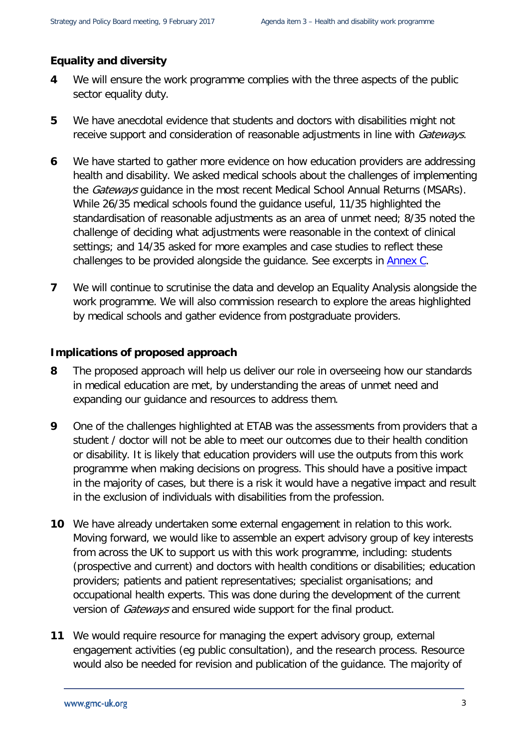#### **Equality and diversity**

- **4** We will ensure the work programme complies with the three aspects of the public sector equality duty.
- **5** We have anecdotal evidence that students and doctors with disabilities might not receive support and consideration of reasonable adjustments in line with Gateways.
- **6** We have started to gather more evidence on how education providers are addressing health and disability. We asked medical schools about the challenges of implementing the *Gateways* guidance in the most recent Medical School Annual Returns (MSARs). While 26/35 medical schools found the guidance useful, 11/35 highlighted the standardisation of reasonable adjustments as an area of unmet need; 8/35 noted the challenge of deciding what adjustments were reasonable in the context of clinical settings; and 14/35 asked for more examples and case studies to reflect these challenges to be provided alongside the guidance. See excerpts in Annex C.
- **7** We will continue to scrutinise the data and develop an Equality Analysis alongside the work programme. We will also commission research to explore the areas highlighted by medical schools and gather evidence from postgraduate providers.

#### **Implications of proposed approach**

- **8** The proposed approach will help us deliver our role in overseeing how our standards in medical education are met, by understanding the areas of unmet need and expanding our guidance and resources to address them.
- **9** One of the challenges highlighted at ETAB was the assessments from providers that a student / doctor will not be able to meet our outcomes due to their health condition or disability. It is likely that education providers will use the outputs from this work programme when making decisions on progress. This should have a positive impact in the majority of cases, but there is a risk it would have a negative impact and result in the exclusion of individuals with disabilities from the profession.
- **10** We have already undertaken some external engagement in relation to this work. Moving forward, we would like to assemble an expert advisory group of key interests from across the UK to support us with this work programme, including: students (prospective and current) and doctors with health conditions or disabilities; education providers; patients and patient representatives; specialist organisations; and occupational health experts. This was done during the development of the current version of *Gateways* and ensured wide support for the final product.
- **11** We would require resource for managing the expert advisory group, external engagement activities (eg public consultation), and the research process. Resource would also be needed for revision and publication of the guidance. The majority of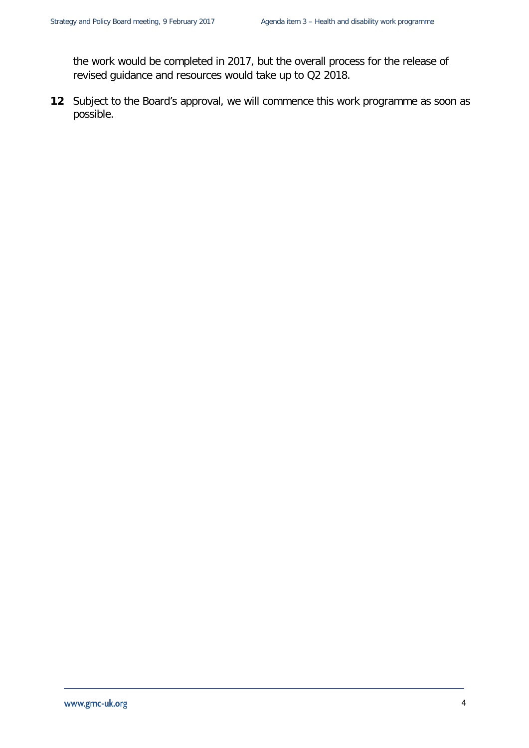the work would be completed in 2017, but the overall process for the release of revised guidance and resources would take up to Q2 2018.

<span id="page-3-0"></span>**12** Subject to the Board's approval, we will commence this work programme as soon as possible.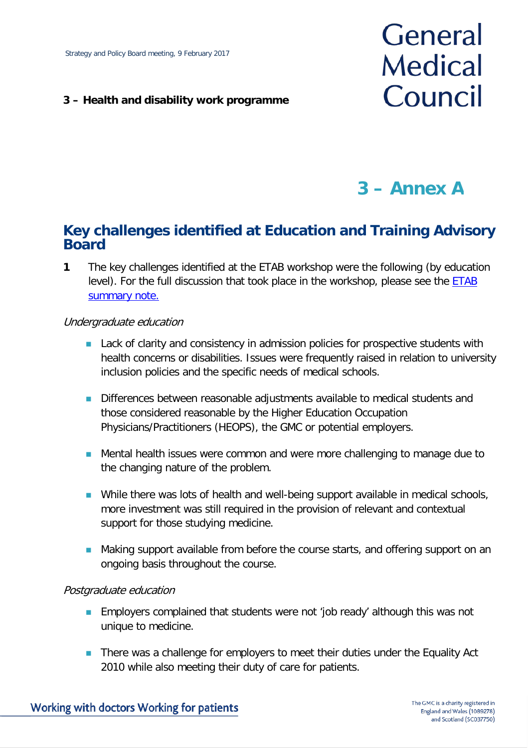#### **3 – Health and disability work programme**

# General **Medical** Council

## **3 – Annex A**

#### **Key challenges identified at Education and Training Advisory Board**

**1** The key challenges identified at the ETAB workshop were the following (by education level). For the full discussion that took place in the workshop, please see the **ETAB** [summary note.](http://livelink/edrms/llisapi.dll/open/68747082)

#### Undergraduate education

- **Lack of clarity and consistency in admission policies for prospective students with** health concerns or disabilities. Issues were frequently raised in relation to university inclusion policies and the specific needs of medical schools.
- Differences between reasonable adjustments available to medical students and those considered reasonable by the Higher Education Occupation Physicians/Practitioners (HEOPS), the GMC or potential employers.
- **Mental health issues were common and were more challenging to manage due to** the changing nature of the problem.
- **Nhile there was lots of health and well-being support available in medical schools,** more investment was still required in the provision of relevant and contextual support for those studying medicine.
- **Making support available from before the course starts, and offering support on an** ongoing basis throughout the course.

#### Postgraduate education

- **Employers complained that students were not 'job ready' although this was not** unique to medicine.
- **There was a challenge for employers to meet their duties under the Equality Act** 2010 while also meeting their duty of care for patients.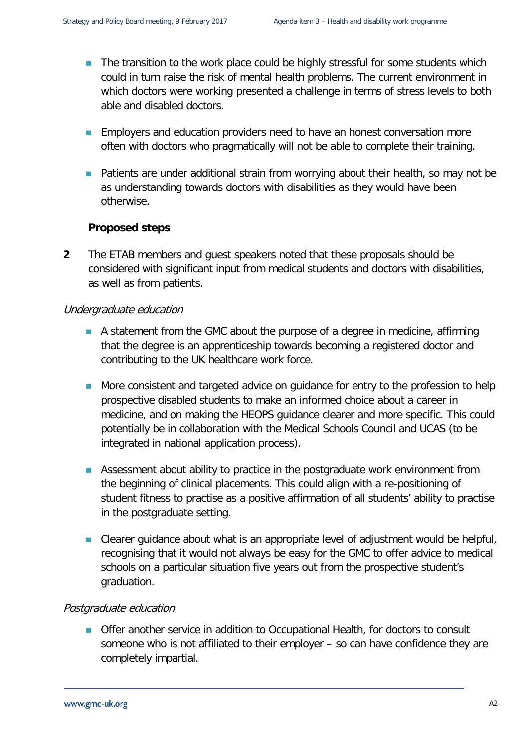- The transition to the work place could be highly stressful for some students which could in turn raise the risk of mental health problems. The current environment in which doctors were working presented a challenge in terms of stress levels to both able and disabled doctors.
- **Employers and education providers need to have an honest conversation more** often with doctors who pragmatically will not be able to complete their training.
- **Patients are under additional strain from worrying about their health, so may not be** as understanding towards doctors with disabilities as they would have been otherwise.

#### **Proposed steps**

**2** The ETAB members and guest speakers noted that these proposals should be considered with significant input from medical students and doctors with disabilities, as well as from patients.

#### Undergraduate education

- A statement from the GMC about the purpose of a degree in medicine, affirming that the degree is an apprenticeship towards becoming a registered doctor and contributing to the UK healthcare work force.
- More consistent and targeted advice on guidance for entry to the profession to help prospective disabled students to make an informed choice about a career in medicine, and on making the HEOPS guidance clearer and more specific. This could potentially be in collaboration with the Medical Schools Council and UCAS (to be integrated in national application process).
- **Assessment about ability to practice in the postgraduate work environment from** the beginning of clinical placements. This could align with a re-positioning of student fitness to practise as a positive affirmation of all students' ability to practise in the postgraduate setting.
- Clearer guidance about what is an appropriate level of adjustment would be helpful, recognising that it would not always be easy for the GMC to offer advice to medical schools on a particular situation five years out from the prospective student's graduation.

#### Postgraduate education

**Offer another service in addition to Occupational Health, for doctors to consult** someone who is not affiliated to their employer – so can have confidence they are completely impartial.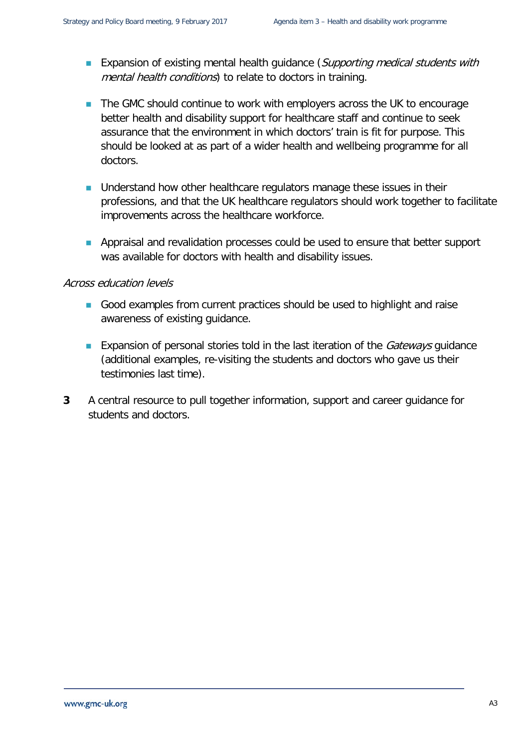- **Expansion of existing mental health guidance (Supporting medical students with** mental health conditions) to relate to doctors in training.
- The GMC should continue to work with employers across the UK to encourage better health and disability support for healthcare staff and continue to seek assurance that the environment in which doctors' train is fit for purpose. This should be looked at as part of a wider health and wellbeing programme for all doctors.
- **Understand how other healthcare regulators manage these issues in their** professions, and that the UK healthcare regulators should work together to facilitate improvements across the healthcare workforce.
- **Appraisal and revalidation processes could be used to ensure that better support** was available for doctors with health and disability issues.

#### Across education levels

- Good examples from current practices should be used to highlight and raise awareness of existing guidance.
- **Expansion of personal stories told in the last iteration of the** *Gateways* **guidance** (additional examples, re-visiting the students and doctors who gave us their testimonies last time).
- **3** A central resource to pull together information, support and career guidance for students and doctors.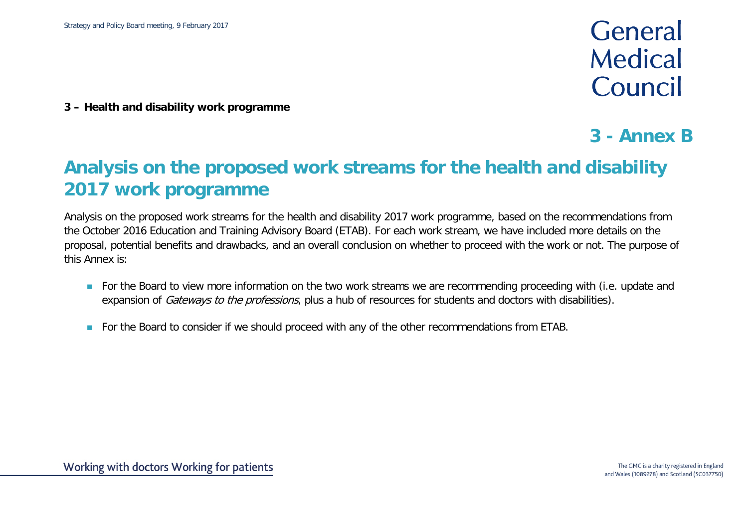## General Medical Council

**3 – Health and disability work programme**

### **3 - Annex B**

## **Analysis on the proposed work streams for the health and disability 2017 work programme**

Analysis on the proposed work streams for the health and disability 2017 work programme, based on the recommendations from the October 2016 Education and Training Advisory Board (ETAB). For each work stream, we have included more details on the proposal, potential benefits and drawbacks, and an overall conclusion on whether to proceed with the work or not. The purpose of this Annex is:

- For the Board to view more information on the two work streams we are recommending proceeding with (i.e. update and expansion of *Gateways to the professions*, plus a hub of resources for students and doctors with disabilities).
- For the Board to consider if we should proceed with any of the other recommendations from ETAB.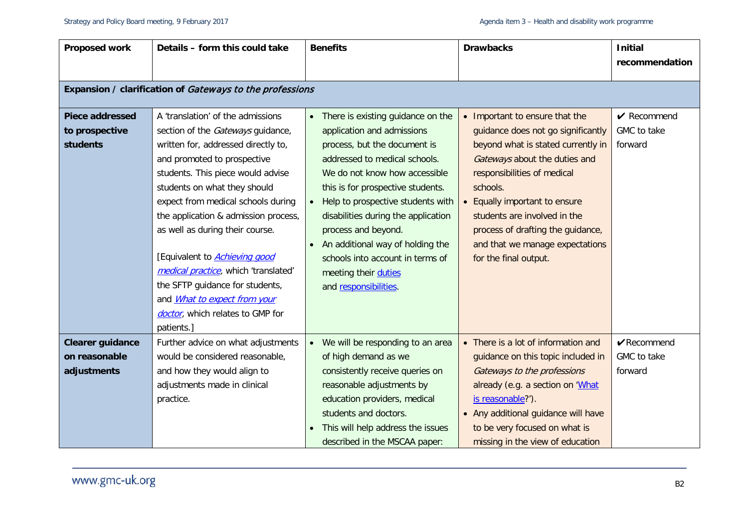| Proposed work                                               | Details - form this could take                                                                                                                                                                                                                                                                                                                                                                                                                                                                                                   | <b>Benefits</b>                                                                                                                                                                                                                                                                                                                                                                                                                                 | <b>Drawbacks</b>                                                                                                                                                                                                                                                                                                                                       | <b>Initial</b><br>recommendation                    |  |  |  |
|-------------------------------------------------------------|----------------------------------------------------------------------------------------------------------------------------------------------------------------------------------------------------------------------------------------------------------------------------------------------------------------------------------------------------------------------------------------------------------------------------------------------------------------------------------------------------------------------------------|-------------------------------------------------------------------------------------------------------------------------------------------------------------------------------------------------------------------------------------------------------------------------------------------------------------------------------------------------------------------------------------------------------------------------------------------------|--------------------------------------------------------------------------------------------------------------------------------------------------------------------------------------------------------------------------------------------------------------------------------------------------------------------------------------------------------|-----------------------------------------------------|--|--|--|
| Expansion / clarification of Gateways to the professions    |                                                                                                                                                                                                                                                                                                                                                                                                                                                                                                                                  |                                                                                                                                                                                                                                                                                                                                                                                                                                                 |                                                                                                                                                                                                                                                                                                                                                        |                                                     |  |  |  |
| <b>Piece addressed</b><br>to prospective<br><b>students</b> | A 'translation' of the admissions<br>section of the Gateways guidance,<br>written for, addressed directly to,<br>and promoted to prospective<br>students. This piece would advise<br>students on what they should<br>expect from medical schools during<br>the application & admission process,<br>as well as during their course.<br>[Equivalent to <b>Achieving good</b><br>medical practice, which 'translated'<br>the SFTP guidance for students,<br>and <i>What to expect from your</i><br>doctor, which relates to GMP for | There is existing guidance on the<br>$\bullet$<br>application and admissions<br>process, but the document is<br>addressed to medical schools.<br>We do not know how accessible<br>this is for prospective students.<br>Help to prospective students with<br>disabilities during the application<br>process and beyond.<br>An additional way of holding the<br>schools into account in terms of<br>meeting their duties<br>and responsibilities. | • Important to ensure that the<br>guidance does not go significantly<br>beyond what is stated currently in<br>Gateways about the duties and<br>responsibilities of medical<br>schools.<br>Equally important to ensure<br>students are involved in the<br>process of drafting the guidance,<br>and that we manage expectations<br>for the final output. | $\sqrt{\ }$ Recommend<br>GMC to take<br>forward     |  |  |  |
| <b>Clearer guidance</b><br>on reasonable<br>adjustments     | patients.]<br>Further advice on what adjustments<br>would be considered reasonable,<br>and how they would align to<br>adjustments made in clinical<br>practice.                                                                                                                                                                                                                                                                                                                                                                  | We will be responding to an area<br>of high demand as we<br>consistently receive queries on<br>reasonable adjustments by<br>education providers, medical<br>students and doctors.<br>This will help address the issues<br>described in the MSCAA paper:                                                                                                                                                                                         | • There is a lot of information and<br>guidance on this topic included in<br>Gateways to the professions<br>already (e.g. a section on 'What<br>is reasonable?').<br>• Any additional guidance will have<br>to be very focused on what is<br>missing in the view of education                                                                          | $\sqrt{\text{Recommend}}$<br>GMC to take<br>forward |  |  |  |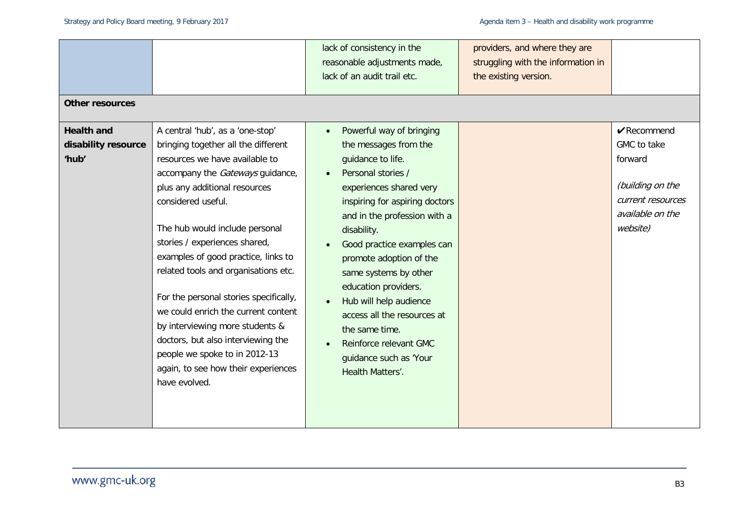| <b>Other resources</b>                            |                                                                                                                                                                                                                                                                                                                                                                                                                                         | lack of consistency in the<br>reasonable adjustments made,<br>lack of an audit trail etc.                                                                                                                                                                                                                                                                                                             | providers, and where they are<br>struggling with the information in<br>the existing version. |                                                                                                                              |
|---------------------------------------------------|-----------------------------------------------------------------------------------------------------------------------------------------------------------------------------------------------------------------------------------------------------------------------------------------------------------------------------------------------------------------------------------------------------------------------------------------|-------------------------------------------------------------------------------------------------------------------------------------------------------------------------------------------------------------------------------------------------------------------------------------------------------------------------------------------------------------------------------------------------------|----------------------------------------------------------------------------------------------|------------------------------------------------------------------------------------------------------------------------------|
|                                                   |                                                                                                                                                                                                                                                                                                                                                                                                                                         |                                                                                                                                                                                                                                                                                                                                                                                                       |                                                                                              |                                                                                                                              |
| <b>Health and</b><br>disability resource<br>'hub' | A central 'hub', as a 'one-stop'<br>bringing together all the different<br>resources we have available to<br>accompany the Gateways guidance,<br>plus any additional resources<br>considered useful.<br>The hub would include personal<br>stories / experiences shared,<br>examples of good practice, links to<br>related tools and organisations etc.<br>For the personal stories specifically,<br>we could enrich the current content | Powerful way of bringing<br>$\bullet$<br>the messages from the<br>guidance to life.<br>Personal stories /<br>experiences shared very<br>inspiring for aspiring doctors<br>and in the profession with a<br>disability.<br>Good practice examples can<br>promote adoption of the<br>same systems by other<br>education providers.<br>Hub will help audience<br>$\bullet$<br>access all the resources at |                                                                                              | $\sqrt{\text{Recommend}}$<br>GMC to take<br>forward<br>(building on the<br>current resources<br>available on the<br>website) |
|                                                   | by interviewing more students &<br>doctors, but also interviewing the<br>people we spoke to in 2012-13<br>again, to see how their experiences<br>have evolved.                                                                                                                                                                                                                                                                          | the same time.<br>Reinforce relevant GMC<br>guidance such as 'Your<br>Health Matters'.                                                                                                                                                                                                                                                                                                                |                                                                                              |                                                                                                                              |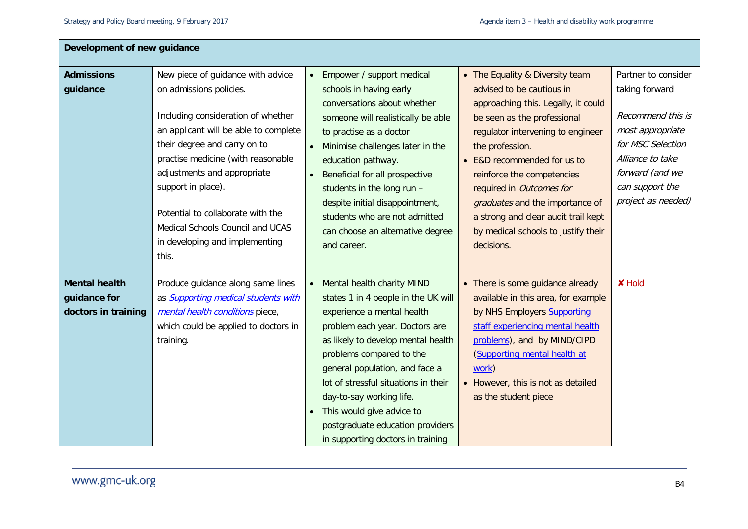| Development of new guidance |                                            |                                             |                                     |                     |
|-----------------------------|--------------------------------------------|---------------------------------------------|-------------------------------------|---------------------|
| <b>Admissions</b>           | New piece of guidance with advice          | Empower / support medical<br>$\bullet$      | • The Equality & Diversity team     | Partner to consider |
| guidance                    | on admissions policies.                    | schools in having early                     | advised to be cautious in           | taking forward      |
|                             |                                            | conversations about whether                 | approaching this. Legally, it could |                     |
|                             | Including consideration of whether         | someone will realistically be able          | be seen as the professional         | Recommend this is   |
|                             | an applicant will be able to complete      | to practise as a doctor                     | regulator intervening to engineer   | most appropriate    |
|                             | their degree and carry on to               | Minimise challenges later in the            | the profession.                     | for MSC Selection   |
|                             | practise medicine (with reasonable         | education pathway.                          | • E&D recommended for us to         | Alliance to take    |
|                             | adjustments and appropriate                | Beneficial for all prospective<br>$\bullet$ | reinforce the competencies          | forward (and we     |
|                             | support in place).                         | students in the long run -                  | required in Outcomes for            | can support the     |
|                             |                                            | despite initial disappointment,             | graduates and the importance of     | project as needed)  |
|                             | Potential to collaborate with the          | students who are not admitted               | a strong and clear audit trail kept |                     |
|                             | Medical Schools Council and UCAS           | can choose an alternative degree            | by medical schools to justify their |                     |
|                             | in developing and implementing             | and career.                                 | decisions.                          |                     |
|                             | this.                                      |                                             |                                     |                     |
|                             |                                            |                                             |                                     |                     |
| <b>Mental health</b>        | Produce guidance along same lines          | Mental health charity MIND<br>$\bullet$     | • There is some guidance already    | <b>X</b> Hold       |
| guidance for                | as <b>Supporting medical students with</b> | states 1 in 4 people in the UK will         | available in this area, for example |                     |
| doctors in training         | mental health conditions piece,            | experience a mental health                  | by NHS Employers Supporting         |                     |
|                             | which could be applied to doctors in       | problem each year. Doctors are              | staff experiencing mental health    |                     |
|                             | training.                                  | as likely to develop mental health          | problems), and by MIND/CIPD         |                     |
|                             |                                            | problems compared to the                    | (Supporting mental health at        |                     |
|                             |                                            | general population, and face a              | work)                               |                     |
|                             |                                            | lot of stressful situations in their        | • However, this is not as detailed  |                     |
|                             |                                            | day-to-say working life.                    | as the student piece                |                     |
|                             |                                            | This would give advice to<br>$\bullet$      |                                     |                     |
|                             |                                            | postgraduate education providers            |                                     |                     |
|                             |                                            | in supporting doctors in training           |                                     |                     |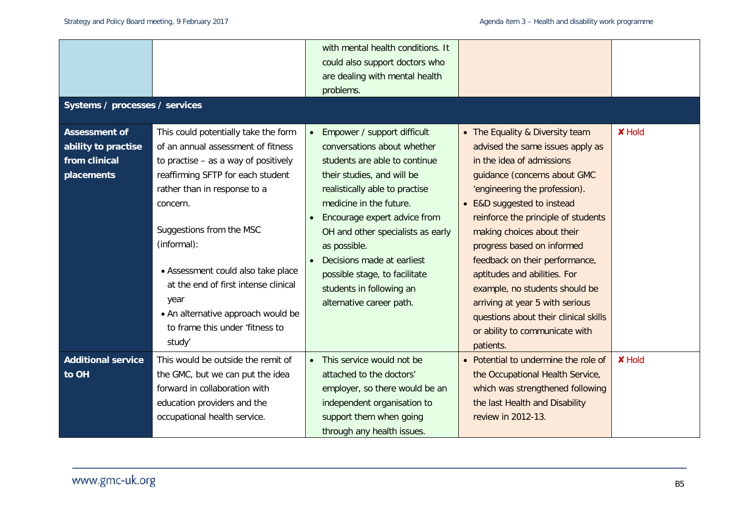|                                                              |                                                                                                                                                                                      |           | with mental health conditions. It<br>could also support doctors who<br>are dealing with mental health<br>problems.                                                              |                                                                                                                                                                                                                                                           |               |
|--------------------------------------------------------------|--------------------------------------------------------------------------------------------------------------------------------------------------------------------------------------|-----------|---------------------------------------------------------------------------------------------------------------------------------------------------------------------------------|-----------------------------------------------------------------------------------------------------------------------------------------------------------------------------------------------------------------------------------------------------------|---------------|
| Systems / processes / services                               |                                                                                                                                                                                      |           |                                                                                                                                                                                 |                                                                                                                                                                                                                                                           |               |
| <b>Assessment of</b><br>ability to practise<br>from clinical | This could potentially take the form<br>of an annual assessment of fitness<br>to practise $-$ as a way of positively                                                                 |           | Empower / support difficult<br>conversations about whether<br>students are able to continue                                                                                     | • The Equality & Diversity team<br>advised the same issues apply as<br>in the idea of admissions                                                                                                                                                          | <b>X</b> Hold |
| placements                                                   | reaffirming SFTP for each student<br>rather than in response to a<br>concern.<br>Suggestions from the MSC                                                                            |           | their studies, and will be<br>realistically able to practise<br>medicine in the future.<br>Encourage expert advice from<br>OH and other specialists as early                    | guidance (concerns about GMC<br>'engineering the profession).<br>• E&D suggested to instead<br>reinforce the principle of students<br>making choices about their                                                                                          |               |
|                                                              | (informal):<br>• Assessment could also take place<br>at the end of first intense clinical<br>year<br>• An alternative approach would be<br>to frame this under 'fitness to<br>study' |           | as possible.<br>Decisions made at earliest<br>possible stage, to facilitate<br>students in following an<br>alternative career path.                                             | progress based on informed<br>feedback on their performance,<br>aptitudes and abilities. For<br>example, no students should be<br>arriving at year 5 with serious<br>questions about their clinical skills<br>or ability to communicate with<br>patients. |               |
| <b>Additional service</b><br>to OH                           | This would be outside the remit of<br>the GMC, but we can put the idea<br>forward in collaboration with<br>education providers and the<br>occupational health service.               | $\bullet$ | This service would not be<br>attached to the doctors'<br>employer, so there would be an<br>independent organisation to<br>support them when going<br>through any health issues. | • Potential to undermine the role of<br>the Occupational Health Service,<br>which was strengthened following<br>the last Health and Disability<br>review in 2012-13.                                                                                      | <b>X</b> Hold |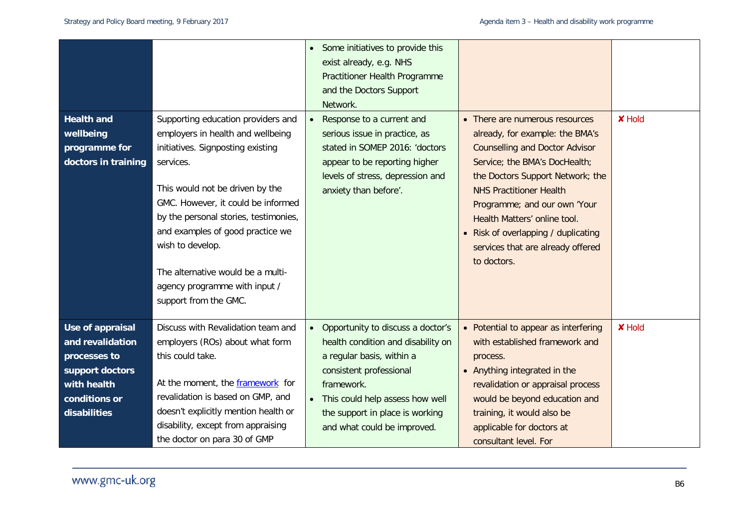| <b>Health and</b><br>wellbeing<br>programme for<br>doctors in training                                                  | Supporting education providers and<br>employers in health and wellbeing<br>initiatives. Signposting existing<br>services.<br>This would not be driven by the<br>GMC. However, it could be informed<br>by the personal stories, testimonies,<br>and examples of good practice we<br>wish to develop.<br>The alternative would be a multi-<br>agency programme with input /<br>support from the GMC. | Some initiatives to provide this<br>exist already, e.g. NHS<br>Practitioner Health Programme<br>and the Doctors Support<br>Network.<br>Response to a current and<br>serious issue in practice, as<br>stated in SOMEP 2016: 'doctors<br>appear to be reporting higher<br>levels of stress, depression and<br>anxiety than before'. | • There are numerous resources<br>already, for example: the BMA's<br><b>Counselling and Doctor Advisor</b><br>Service; the BMA's DocHealth;<br>the Doctors Support Network; the<br><b>NHS Practitioner Health</b><br>Programme; and our own 'Your<br>Health Matters' online tool.<br>• Risk of overlapping / duplicating<br>services that are already offered<br>to doctors. | <b>X</b> Hold |
|-------------------------------------------------------------------------------------------------------------------------|----------------------------------------------------------------------------------------------------------------------------------------------------------------------------------------------------------------------------------------------------------------------------------------------------------------------------------------------------------------------------------------------------|-----------------------------------------------------------------------------------------------------------------------------------------------------------------------------------------------------------------------------------------------------------------------------------------------------------------------------------|------------------------------------------------------------------------------------------------------------------------------------------------------------------------------------------------------------------------------------------------------------------------------------------------------------------------------------------------------------------------------|---------------|
| Use of appraisal<br>and revalidation<br>processes to<br>support doctors<br>with health<br>conditions or<br>disabilities | Discuss with Revalidation team and<br>employers (ROs) about what form<br>this could take.<br>At the moment, the framework for<br>revalidation is based on GMP, and<br>doesn't explicitly mention health or<br>disability, except from appraising<br>the doctor on para 30 of GMP                                                                                                                   | Opportunity to discuss a doctor's<br>health condition and disability on<br>a regular basis, within a<br>consistent professional<br>framework.<br>This could help assess how well<br>the support in place is working<br>and what could be improved.                                                                                | • Potential to appear as interfering<br>with established framework and<br>process.<br>• Anything integrated in the<br>revalidation or appraisal process<br>would be beyond education and<br>training, it would also be<br>applicable for doctors at<br>consultant level. For                                                                                                 | <b>X</b> Hold |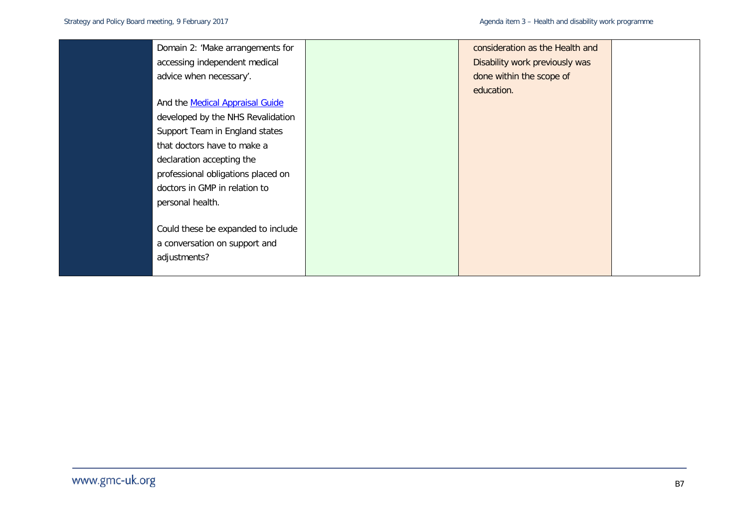| Domain 2: 'Make arrangements for       | consideration as the Health and |  |
|----------------------------------------|---------------------------------|--|
| accessing independent medical          | Disability work previously was  |  |
| advice when necessary'.                | done within the scope of        |  |
|                                        | education.                      |  |
| And the <b>Medical Appraisal Guide</b> |                                 |  |
| developed by the NHS Revalidation      |                                 |  |
| Support Team in England states         |                                 |  |
| that doctors have to make a            |                                 |  |
| declaration accepting the              |                                 |  |
| professional obligations placed on     |                                 |  |
| doctors in GMP in relation to          |                                 |  |
| personal health.                       |                                 |  |
|                                        |                                 |  |
| Could these be expanded to include     |                                 |  |
| a conversation on support and          |                                 |  |
| adjustments?                           |                                 |  |
|                                        |                                 |  |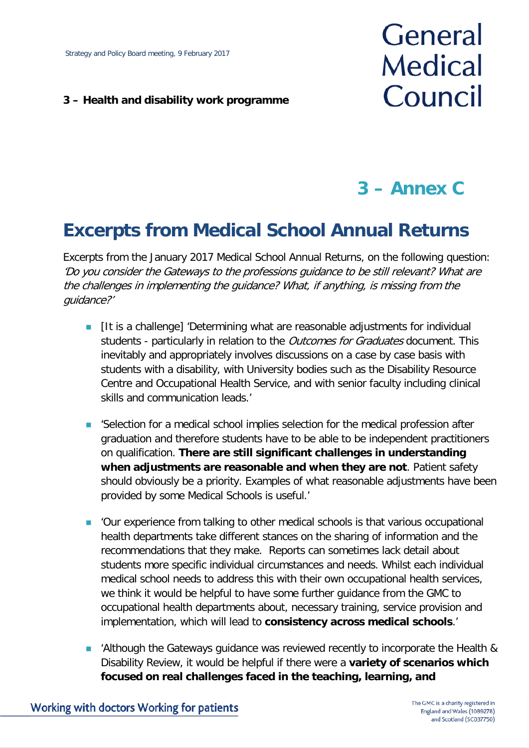#### **3 – Health and disability work programme**

# General **Medical** Council

## **3 – Annex C**

## **Excerpts from Medical School Annual Returns**

Excerpts from the January 2017 Medical School Annual Returns, on the following question: 'Do you consider the Gateways to the professions guidance to be still relevant? What are the challenges in implementing the guidance? What, if anything, is missing from the guidance?'

- **If It is a challenge] 'Determining what are reasonable adjustments for individual** students - particularly in relation to the *Outcomes for Graduates* document. This inevitably and appropriately involves discussions on a case by case basis with students with a disability, with University bodies such as the Disability Resource Centre and Occupational Health Service, and with senior faculty including clinical skills and communication leads.'
- 'Selection for a medical school implies selection for the medical profession after graduation and therefore students have to be able to be independent practitioners on qualification. **There are still significant challenges in understanding when adjustments are reasonable and when they are not**. Patient safety should obviously be a priority. Examples of what reasonable adjustments have been provided by some Medical Schools is useful.'
- 'Our experience from talking to other medical schools is that various occupational health departments take different stances on the sharing of information and the recommendations that they make. Reports can sometimes lack detail about students more specific individual circumstances and needs. Whilst each individual medical school needs to address this with their own occupational health services, we think it would be helpful to have some further guidance from the GMC to occupational health departments about, necessary training, service provision and implementation, which will lead to **consistency across medical schools**.'
- 'Although the Gateways guidance was reviewed recently to incorporate the Health & Disability Review, it would be helpful if there were a **variety of scenarios which focused on real challenges faced in the teaching, learning, and**